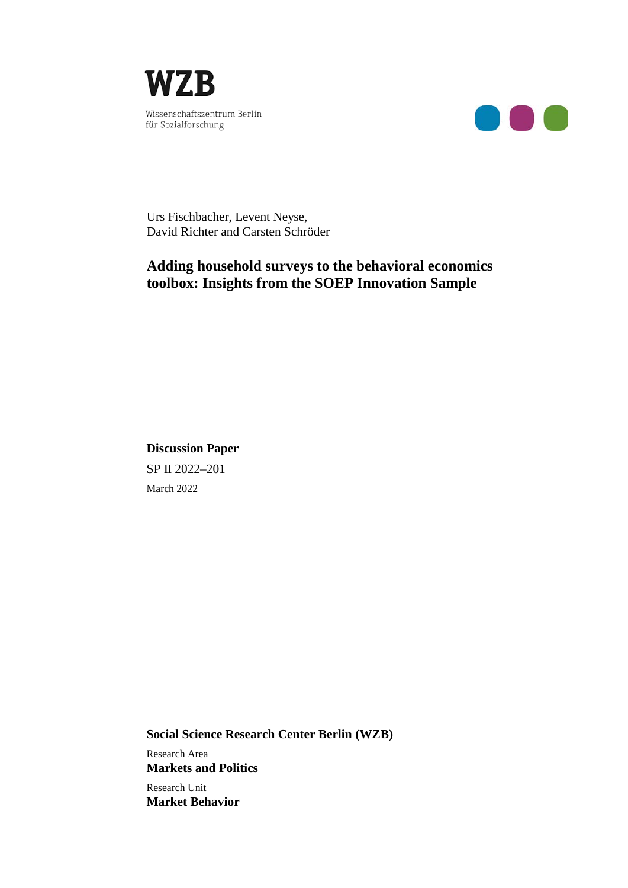



Urs Fischbacher, Levent Neyse, David Richter and Carsten Schröder

## **Adding household surveys to the behavioral economics toolbox: Insights from the SOEP Innovation Sample**

**Discussion Paper** SP II 2022–201 March 2022

**Social Science Research Center Berlin (WZB)** Research Area **Markets and Politics** Research Unit **Market Behavior**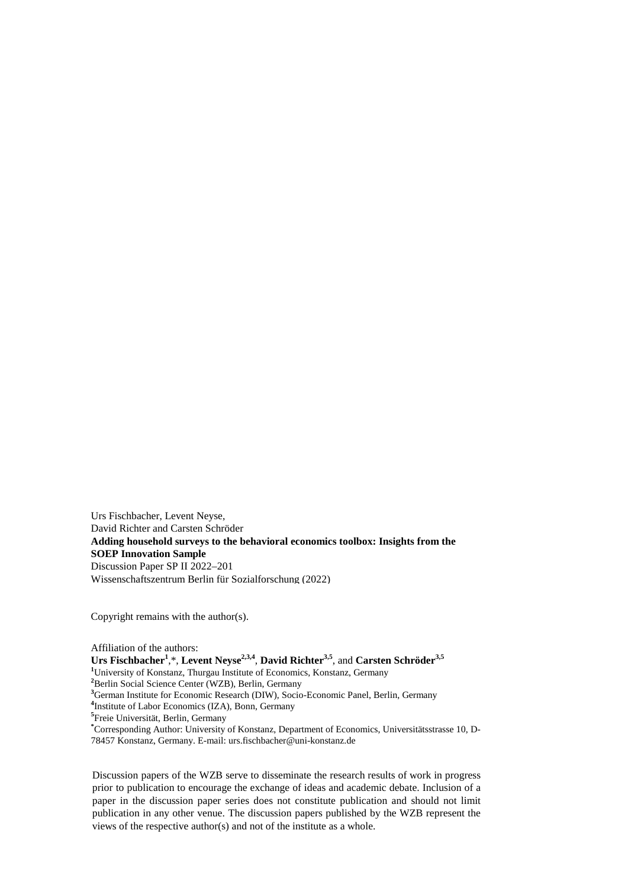Urs Fischbacher, Levent Neyse, David Richter and Carsten Schröder **Adding household surveys to the behavioral economics toolbox: Insights from the SOEP Innovation Sample**  Discussion Paper SP II 2022–201 Wissenschaftszentrum Berlin für Sozialforschung (2022)

Copyright remains with the author(s).

Affiliation of the authors: **Urs Fischbacher<sup>1</sup>** ,\*, **Levent Neyse2,3,4**, **David Richter3,5**, and **Carsten Schröder3,5** <sup>1</sup>University of Konstanz, Thurgau Institute of Economics, Konstanz, Germany **2** Berlin Social Science Center (WZB), Berlin, Germany **3** German Institute for Economic Research (DIW), Socio-Economic Panel, Berlin, Germany **4** Institute of Labor Economics (IZA), Bonn, Germany **5** Freie Universität, Berlin, Germany **\*** Corresponding Author: University of Konstanz, Department of Economics, Universitätsstrasse 10, D-

78457 Konstanz, Germany. E-mail: urs.fischbacher@uni-konstanz.de

Discussion papers of the WZB serve to disseminate the research results of work in progress prior to publication to encourage the exchange of ideas and academic debate. Inclusion of a paper in the discussion paper series does not constitute publication and should not limit publication in any other venue. The discussion papers published by the WZB represent the views of the respective author(s) and not of the institute as a whole.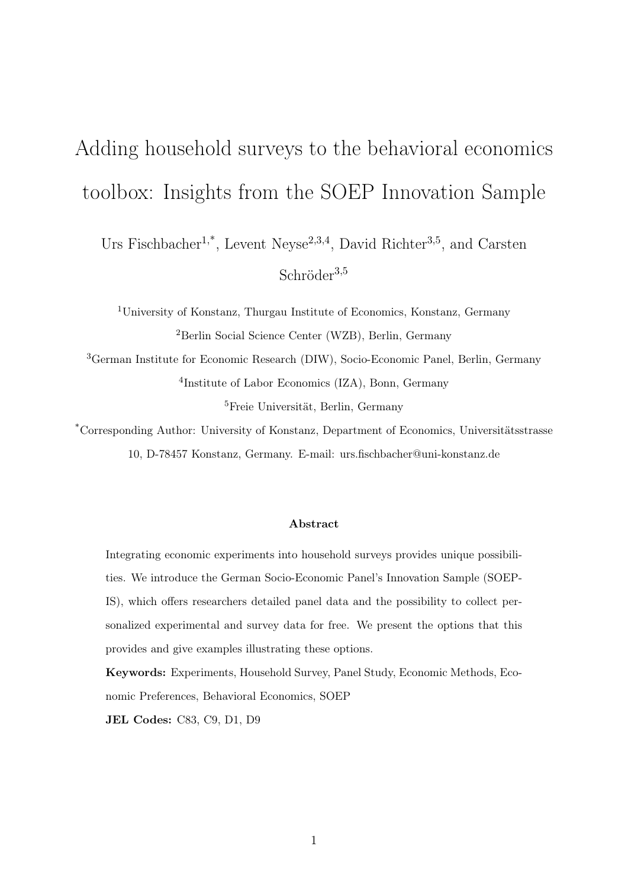# <span id="page-2-0"></span>Adding household surveys to the behavioral economics toolbox: Insights from the SOEP Innovation Sample

Urs Fischbacher<sup>1,\*</sup>, Levent Neyse<sup>2,3,4</sup>, David Richter<sup>3,5</sup>, and Carsten Schröder<sup>3,5</sup>

<sup>1</sup>University of Konstanz, Thurgau Institute of Economics, Konstanz, Germany <sup>2</sup>Berlin Social Science Center (WZB), Berlin, Germany

<sup>3</sup>German Institute for Economic Research (DIW), Socio-Economic Panel, Berlin, Germany 4 Institute of Labor Economics (IZA), Bonn, Germany <sup>5</sup>Freie Universität, Berlin, Germany

\*Corresponding Author: University of Konstanz, Department of Economics, Universitätsstrasse 10, D-78457 Konstanz, Germany. E-mail: urs.fischbacher@uni-konstanz.de

#### Abstract

Integrating economic experiments into household surveys provides unique possibilities. We introduce the German Socio-Economic Panel's Innovation Sample (SOEP-IS), which offers researchers detailed panel data and the possibility to collect personalized experimental and survey data for free. We present the options that this provides and give examples illustrating these options.

Keywords: Experiments, Household Survey, Panel Study, Economic Methods, Economic Preferences, Behavioral Economics, SOEP

JEL Codes: C83, C9, D1, D9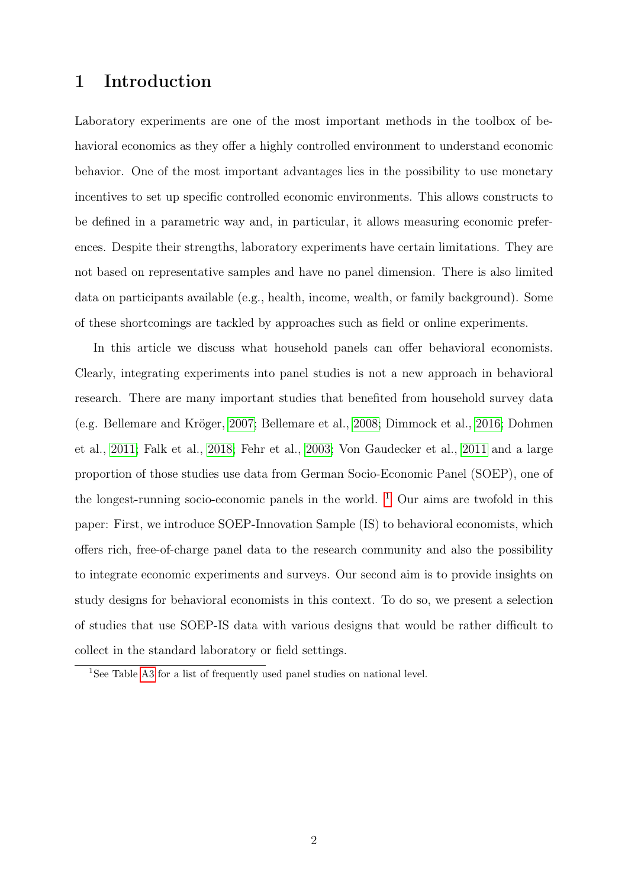# 1 Introduction

Laboratory experiments are one of the most important methods in the toolbox of behavioral economics as they offer a highly controlled environment to understand economic behavior. One of the most important advantages lies in the possibility to use monetary incentives to set up specific controlled economic environments. This allows constructs to be defined in a parametric way and, in particular, it allows measuring economic preferences. Despite their strengths, laboratory experiments have certain limitations. They are not based on representative samples and have no panel dimension. There is also limited data on participants available (e.g., health, income, wealth, or family background). Some of these shortcomings are tackled by approaches such as field or online experiments.

In this article we discuss what household panels can offer behavioral economists. Clearly, integrating experiments into panel studies is not a new approach in behavioral research. There are many important studies that benefited from household survey data (e.g. Bellemare and Kröger, [2007;](#page-16-0) Bellemare et al., [2008;](#page-16-1) Dimmock et al., [2016;](#page-17-0) Dohmen et al., [2011;](#page-17-1) Falk et al., [2018;](#page-17-2) Fehr et al., [2003;](#page-17-3) Von Gaudecker et al., [2011](#page-18-0) and a large proportion of those studies use data from German Socio-Economic Panel (SOEP), one of the longest-running socio-economic panels in the world.  $1$  Our aims are twofold in this paper: First, we introduce SOEP-Innovation Sample (IS) to behavioral economists, which offers rich, free-of-charge panel data to the research community and also the possibility to integrate economic experiments and surveys. Our second aim is to provide insights on study designs for behavioral economists in this context. To do so, we present a selection of studies that use SOEP-IS data with various designs that would be rather difficult to collect in the standard laboratory or field settings.

<sup>&</sup>lt;sup>1</sup>See Table [A3](#page-21-0) for a list of frequently used panel studies on national level.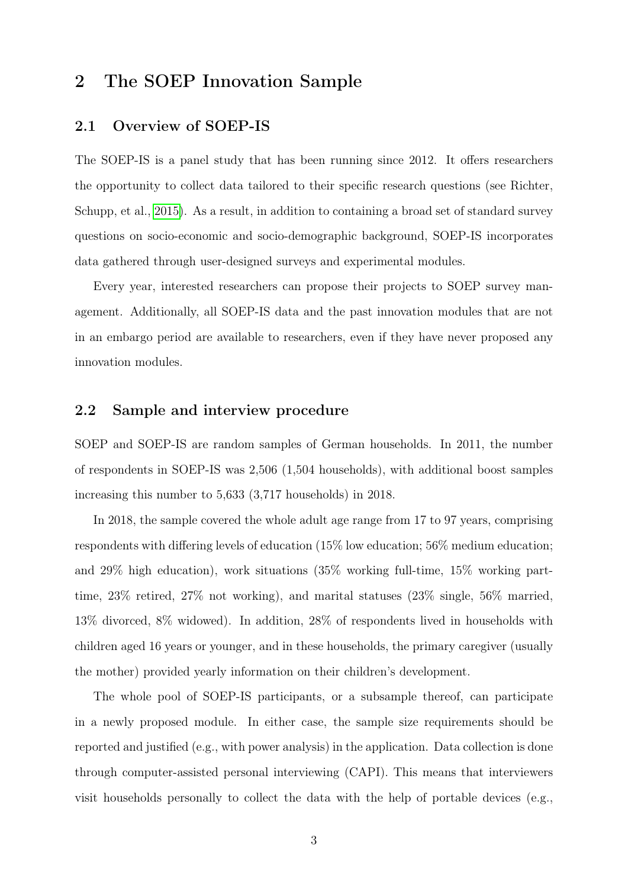# 2 The SOEP Innovation Sample

#### 2.1 Overview of SOEP-IS

The SOEP-IS is a panel study that has been running since 2012. It offers researchers the opportunity to collect data tailored to their specific research questions (see Richter, Schupp, et al., [2015\)](#page-18-1). As a result, in addition to containing a broad set of standard survey questions on socio-economic and socio-demographic background, SOEP-IS incorporates data gathered through user-designed surveys and experimental modules.

Every year, interested researchers can propose their projects to SOEP survey management. Additionally, all SOEP-IS data and the past innovation modules that are not in an embargo period are available to researchers, even if they have never proposed any innovation modules.

#### 2.2 Sample and interview procedure

SOEP and SOEP-IS are random samples of German households. In 2011, the number of respondents in SOEP-IS was 2,506 (1,504 households), with additional boost samples increasing this number to 5,633 (3,717 households) in 2018.

In 2018, the sample covered the whole adult age range from 17 to 97 years, comprising respondents with differing levels of education (15% low education; 56% medium education; and 29% high education), work situations (35% working full-time, 15% working parttime, 23% retired, 27% not working), and marital statuses (23% single, 56% married, 13% divorced, 8% widowed). In addition, 28% of respondents lived in households with children aged 16 years or younger, and in these households, the primary caregiver (usually the mother) provided yearly information on their children's development.

The whole pool of SOEP-IS participants, or a subsample thereof, can participate in a newly proposed module. In either case, the sample size requirements should be reported and justified (e.g., with power analysis) in the application. Data collection is done through computer-assisted personal interviewing (CAPI). This means that interviewers visit households personally to collect the data with the help of portable devices (e.g.,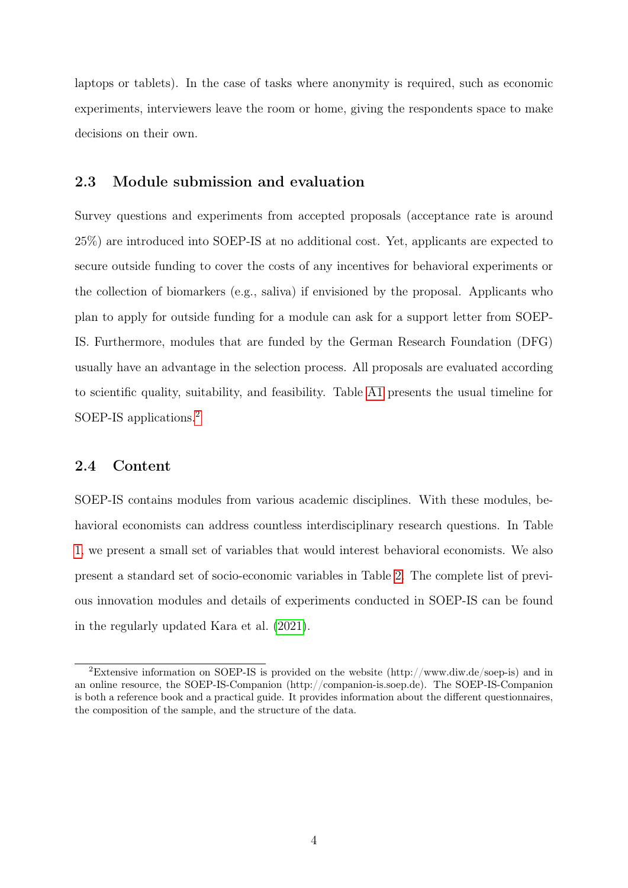laptops or tablets). In the case of tasks where anonymity is required, such as economic experiments, interviewers leave the room or home, giving the respondents space to make decisions on their own.

#### 2.3 Module submission and evaluation

Survey questions and experiments from accepted proposals (acceptance rate is around 25%) are introduced into SOEP-IS at no additional cost. Yet, applicants are expected to secure outside funding to cover the costs of any incentives for behavioral experiments or the collection of biomarkers (e.g., saliva) if envisioned by the proposal. Applicants who plan to apply for outside funding for a module can ask for a support letter from SOEP-IS. Furthermore, modules that are funded by the German Research Foundation (DFG) usually have an advantage in the selection process. All proposals are evaluated according to scientific quality, suitability, and feasibility. Table [A1](#page-19-0) presents the usual timeline for SOEP-IS applications.[2](#page-2-0)

#### 2.4 Content

SOEP-IS contains modules from various academic disciplines. With these modules, behavioral economists can address countless interdisciplinary research questions. In Table [1,](#page-6-0) we present a small set of variables that would interest behavioral economists. We also present a standard set of socio-economic variables in Table [2.](#page-6-1) The complete list of previous innovation modules and details of experiments conducted in SOEP-IS can be found in the regularly updated Kara et al. [\(2021\)](#page-18-2).

<sup>2</sup>Extensive information on SOEP-IS is provided on the website (http://www.diw.de/soep-is) and in an online resource, the SOEP-IS-Companion (http://companion-is.soep.de). The SOEP-IS-Companion is both a reference book and a practical guide. It provides information about the different questionnaires, the composition of the sample, and the structure of the data.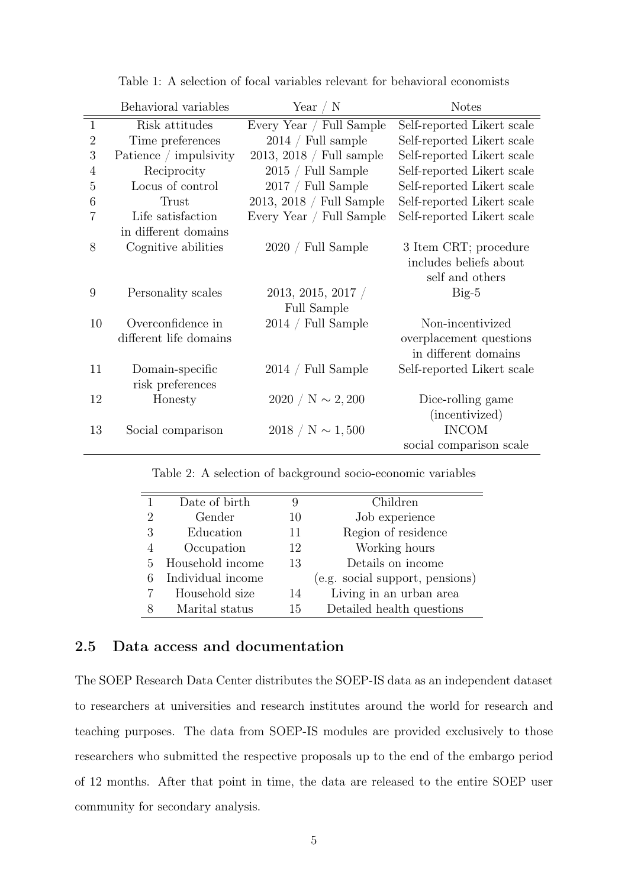<span id="page-6-0"></span>

|                  | Behavioral variables<br>Year $\angle$ N |                             | <b>Notes</b>               |
|------------------|-----------------------------------------|-----------------------------|----------------------------|
| $\mathbf{1}$     | Risk attitudes                          | Every Year / Full Sample    | Self-reported Likert scale |
| $\overline{2}$   | Time preferences                        | $2014 /$ Full sample        | Self-reported Likert scale |
| 3                | Patience / impulsivity                  | $2013, 2018 /$ Full sample  | Self-reported Likert scale |
| 4                | Reciprocity                             | $2015 /$ Full Sample        | Self-reported Likert scale |
| 5                | Locus of control                        | 2017 / Full Sample          | Self-reported Likert scale |
| $\boldsymbol{6}$ | Trust                                   | 2013, 2018 / Full Sample    | Self-reported Likert scale |
| 7                | Life satisfaction                       | Every Year / Full Sample    | Self-reported Likert scale |
|                  | in different domains                    |                             |                            |
| 8                | Cognitive abilities                     | $2020 / \text{Full Sample}$ | 3 Item CRT; procedure      |
|                  |                                         |                             | includes beliefs about     |
|                  |                                         |                             | self and others            |
| 9                | Personality scales                      | $2013, 2015, 2017$ /        | $Big-5$                    |
|                  |                                         | Full Sample                 |                            |
| 10               | Overconfidence in                       | $2014 /$ Full Sample        | Non-incentivized           |
|                  | different life domains                  |                             | overplacement questions    |
|                  |                                         |                             | in different domains       |
| 11               | Domain-specific                         | $2014 /$ Full Sample        | Self-reported Likert scale |
|                  | risk preferences                        |                             |                            |
| 12               | Honesty                                 | $2020 / N \sim 2,200$       | Dice-rolling game          |
|                  |                                         |                             | (incentivized)             |
| 13               | Social comparison                       | $2018 / N \sim 1,500$       | <b>INCOM</b>               |
|                  |                                         |                             | social comparison scale    |

Table 1: A selection of focal variables relevant for behavioral economists

Table 2: A selection of background socio-economic variables

<span id="page-6-1"></span>

|   | Date of birth     | 9  | Children                        |
|---|-------------------|----|---------------------------------|
| 2 | Gender            | 10 | Job experience                  |
| 3 | Education         | 11 | Region of residence             |
|   | Occupation        | 12 | Working hours                   |
| 5 | Household income  | 13 | Details on income               |
|   | Individual income |    | (e.g. social support, pensions) |
|   | Household size    | 14 | Living in an urban area         |
|   | Marital status    | 15 | Detailed health questions       |

#### 2.5 Data access and documentation

The SOEP Research Data Center distributes the SOEP-IS data as an independent dataset to researchers at universities and research institutes around the world for research and teaching purposes. The data from SOEP-IS modules are provided exclusively to those researchers who submitted the respective proposals up to the end of the embargo period of 12 months. After that point in time, the data are released to the entire SOEP user community for secondary analysis.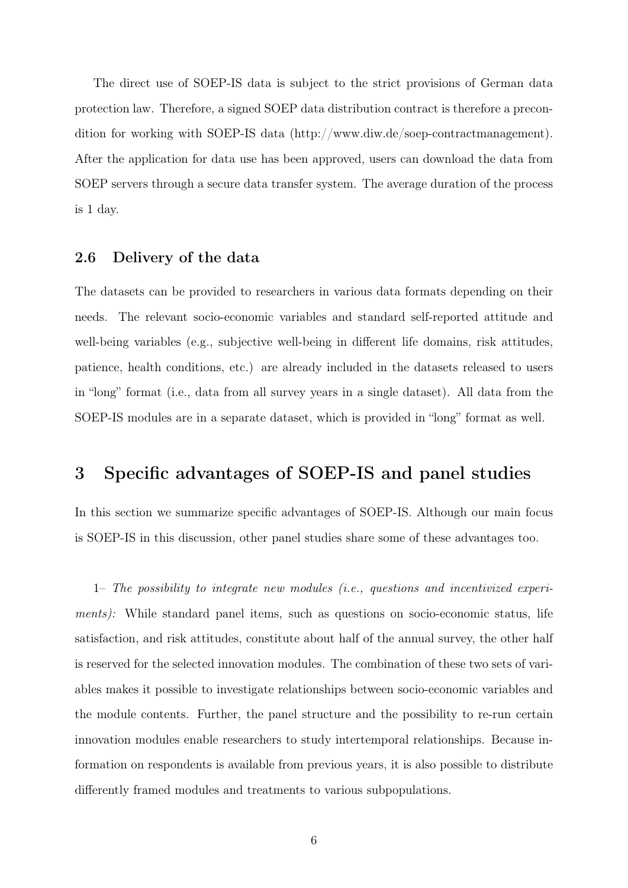The direct use of SOEP-IS data is subject to the strict provisions of German data protection law. Therefore, a signed SOEP data distribution contract is therefore a precondition for working with SOEP-IS data (http://www.diw.de/soep-contractmanagement). After the application for data use has been approved, users can download the data from SOEP servers through a secure data transfer system. The average duration of the process is 1 day.

#### 2.6 Delivery of the data

The datasets can be provided to researchers in various data formats depending on their needs. The relevant socio-economic variables and standard self-reported attitude and well-being variables (e.g., subjective well-being in different life domains, risk attitudes, patience, health conditions, etc.) are already included in the datasets released to users in "long" format (i.e., data from all survey years in a single dataset). All data from the SOEP-IS modules are in a separate dataset, which is provided in "long" format as well.

# 3 Specific advantages of SOEP-IS and panel studies

In this section we summarize specific advantages of SOEP-IS. Although our main focus is SOEP-IS in this discussion, other panel studies share some of these advantages too.

1– The possibility to integrate new modules (i.e., questions and incentivized experiments): While standard panel items, such as questions on socio-economic status, life satisfaction, and risk attitudes, constitute about half of the annual survey, the other half is reserved for the selected innovation modules. The combination of these two sets of variables makes it possible to investigate relationships between socio-economic variables and the module contents. Further, the panel structure and the possibility to re-run certain innovation modules enable researchers to study intertemporal relationships. Because information on respondents is available from previous years, it is also possible to distribute differently framed modules and treatments to various subpopulations.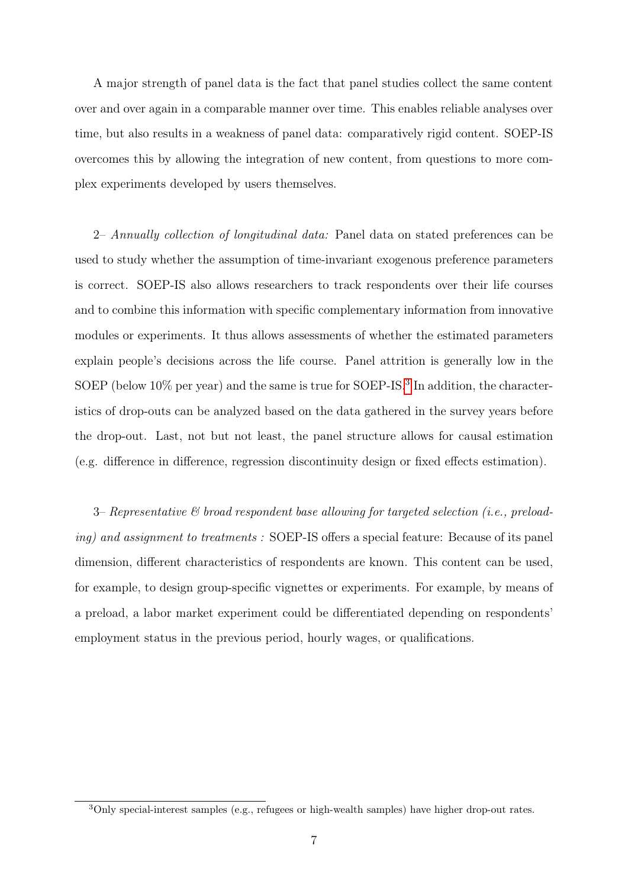A major strength of panel data is the fact that panel studies collect the same content over and over again in a comparable manner over time. This enables reliable analyses over time, but also results in a weakness of panel data: comparatively rigid content. SOEP-IS overcomes this by allowing the integration of new content, from questions to more complex experiments developed by users themselves.

2– Annually collection of longitudinal data: Panel data on stated preferences can be used to study whether the assumption of time-invariant exogenous preference parameters is correct. SOEP-IS also allows researchers to track respondents over their life courses and to combine this information with specific complementary information from innovative modules or experiments. It thus allows assessments of whether the estimated parameters explain people's decisions across the life course. Panel attrition is generally low in the SOEP (below 10% per year) and the same is true for SOEP-IS.<sup>[3](#page-2-0)</sup> In addition, the characteristics of drop-outs can be analyzed based on the data gathered in the survey years before the drop-out. Last, not but not least, the panel structure allows for causal estimation (e.g. difference in difference, regression discontinuity design or fixed effects estimation).

3– Representative & broad respondent base allowing for targeted selection (i.e., preloading) and assignment to treatments : SOEP-IS offers a special feature: Because of its panel dimension, different characteristics of respondents are known. This content can be used, for example, to design group-specific vignettes or experiments. For example, by means of a preload, a labor market experiment could be differentiated depending on respondents' employment status in the previous period, hourly wages, or qualifications.

<sup>3</sup>Only special-interest samples (e.g., refugees or high-wealth samples) have higher drop-out rates.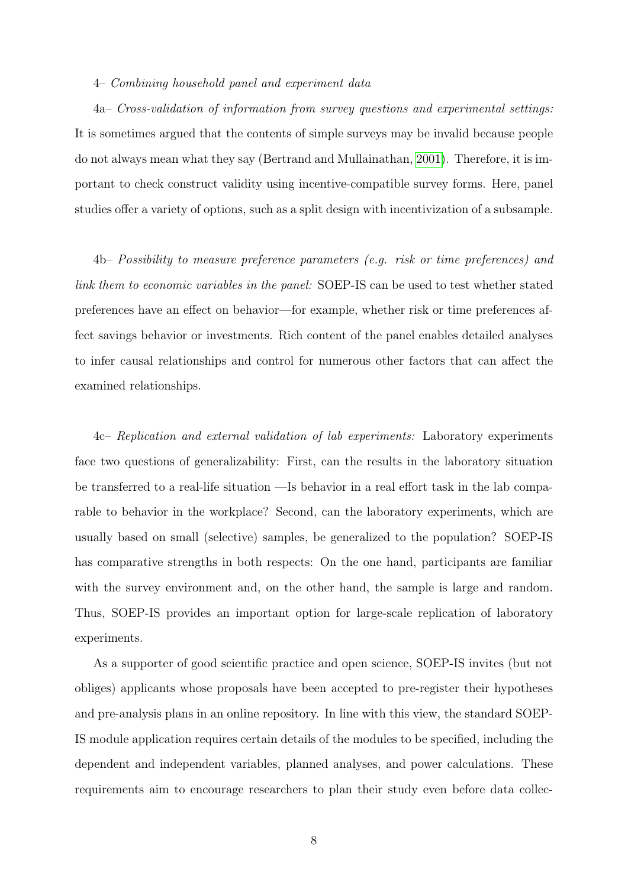#### 4– Combining household panel and experiment data

4a– Cross-validation of information from survey questions and experimental settings: It is sometimes argued that the contents of simple surveys may be invalid because people do not always mean what they say (Bertrand and Mullainathan, [2001\)](#page-16-2). Therefore, it is important to check construct validity using incentive-compatible survey forms. Here, panel studies offer a variety of options, such as a split design with incentivization of a subsample.

4b– Possibility to measure preference parameters (e.g. risk or time preferences) and link them to economic variables in the panel: SOEP-IS can be used to test whether stated preferences have an effect on behavior—for example, whether risk or time preferences affect savings behavior or investments. Rich content of the panel enables detailed analyses to infer causal relationships and control for numerous other factors that can affect the examined relationships.

4c– Replication and external validation of lab experiments: Laboratory experiments face two questions of generalizability: First, can the results in the laboratory situation be transferred to a real-life situation —Is behavior in a real effort task in the lab comparable to behavior in the workplace? Second, can the laboratory experiments, which are usually based on small (selective) samples, be generalized to the population? SOEP-IS has comparative strengths in both respects: On the one hand, participants are familiar with the survey environment and, on the other hand, the sample is large and random. Thus, SOEP-IS provides an important option for large-scale replication of laboratory experiments.

As a supporter of good scientific practice and open science, SOEP-IS invites (but not obliges) applicants whose proposals have been accepted to pre-register their hypotheses and pre-analysis plans in an online repository. In line with this view, the standard SOEP-IS module application requires certain details of the modules to be specified, including the dependent and independent variables, planned analyses, and power calculations. These requirements aim to encourage researchers to plan their study even before data collec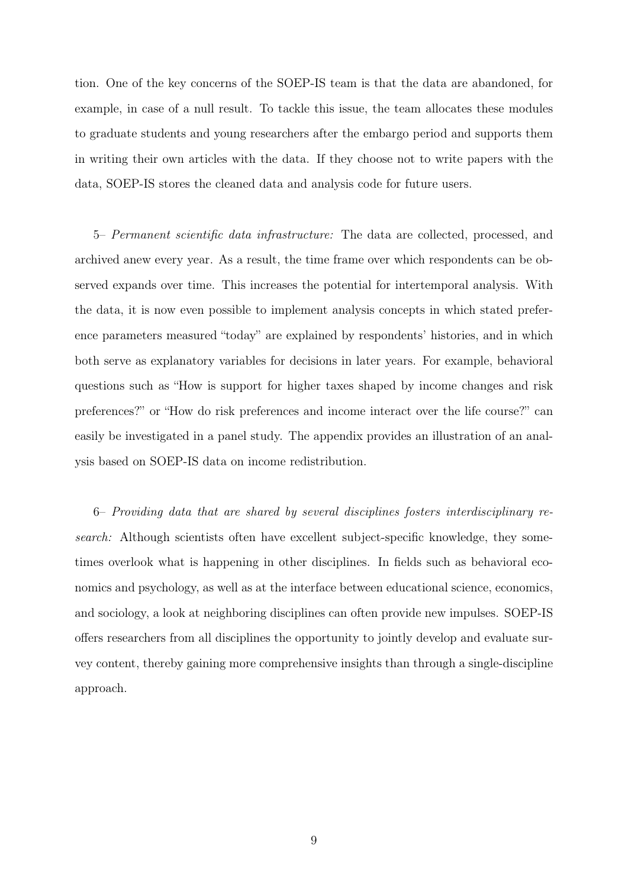tion. One of the key concerns of the SOEP-IS team is that the data are abandoned, for example, in case of a null result. To tackle this issue, the team allocates these modules to graduate students and young researchers after the embargo period and supports them in writing their own articles with the data. If they choose not to write papers with the data, SOEP-IS stores the cleaned data and analysis code for future users.

5– Permanent scientific data infrastructure: The data are collected, processed, and archived anew every year. As a result, the time frame over which respondents can be observed expands over time. This increases the potential for intertemporal analysis. With the data, it is now even possible to implement analysis concepts in which stated preference parameters measured "today" are explained by respondents' histories, and in which both serve as explanatory variables for decisions in later years. For example, behavioral questions such as "How is support for higher taxes shaped by income changes and risk preferences?" or "How do risk preferences and income interact over the life course?" can easily be investigated in a panel study. The appendix provides an illustration of an analysis based on SOEP-IS data on income redistribution.

6– Providing data that are shared by several disciplines fosters interdisciplinary research: Although scientists often have excellent subject-specific knowledge, they sometimes overlook what is happening in other disciplines. In fields such as behavioral economics and psychology, as well as at the interface between educational science, economics, and sociology, a look at neighboring disciplines can often provide new impulses. SOEP-IS offers researchers from all disciplines the opportunity to jointly develop and evaluate survey content, thereby gaining more comprehensive insights than through a single-discipline approach.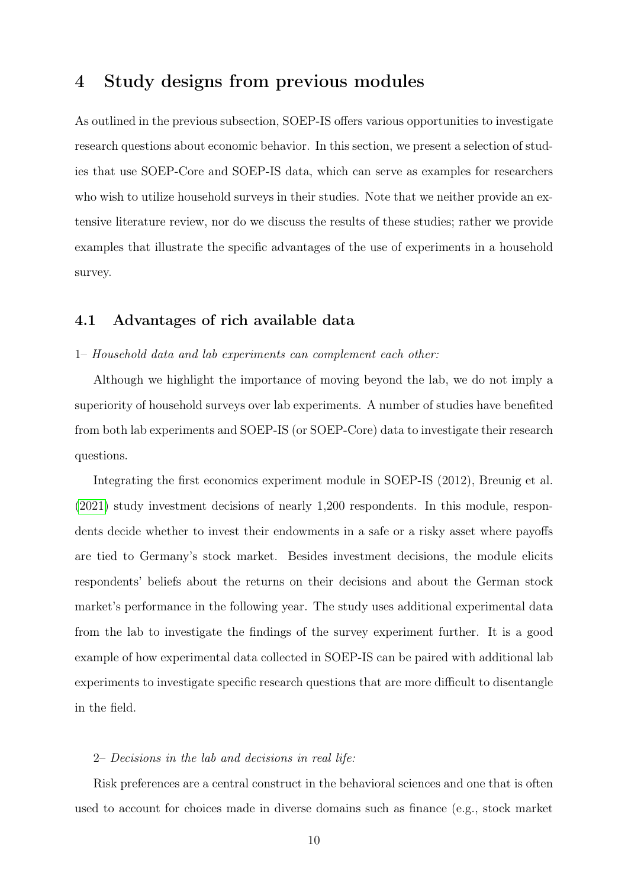### 4 Study designs from previous modules

As outlined in the previous subsection, SOEP-IS offers various opportunities to investigate research questions about economic behavior. In this section, we present a selection of studies that use SOEP-Core and SOEP-IS data, which can serve as examples for researchers who wish to utilize household surveys in their studies. Note that we neither provide an extensive literature review, nor do we discuss the results of these studies; rather we provide examples that illustrate the specific advantages of the use of experiments in a household survey.

#### 4.1 Advantages of rich available data

#### 1– Household data and lab experiments can complement each other:

Although we highlight the importance of moving beyond the lab, we do not imply a superiority of household surveys over lab experiments. A number of studies have benefited from both lab experiments and SOEP-IS (or SOEP-Core) data to investigate their research questions.

Integrating the first economics experiment module in SOEP-IS (2012), Breunig et al. [\(2021\)](#page-17-4) study investment decisions of nearly 1,200 respondents. In this module, respondents decide whether to invest their endowments in a safe or a risky asset where payoffs are tied to Germany's stock market. Besides investment decisions, the module elicits respondents' beliefs about the returns on their decisions and about the German stock market's performance in the following year. The study uses additional experimental data from the lab to investigate the findings of the survey experiment further. It is a good example of how experimental data collected in SOEP-IS can be paired with additional lab experiments to investigate specific research questions that are more difficult to disentangle in the field.

#### 2– Decisions in the lab and decisions in real life:

Risk preferences are a central construct in the behavioral sciences and one that is often used to account for choices made in diverse domains such as finance (e.g., stock market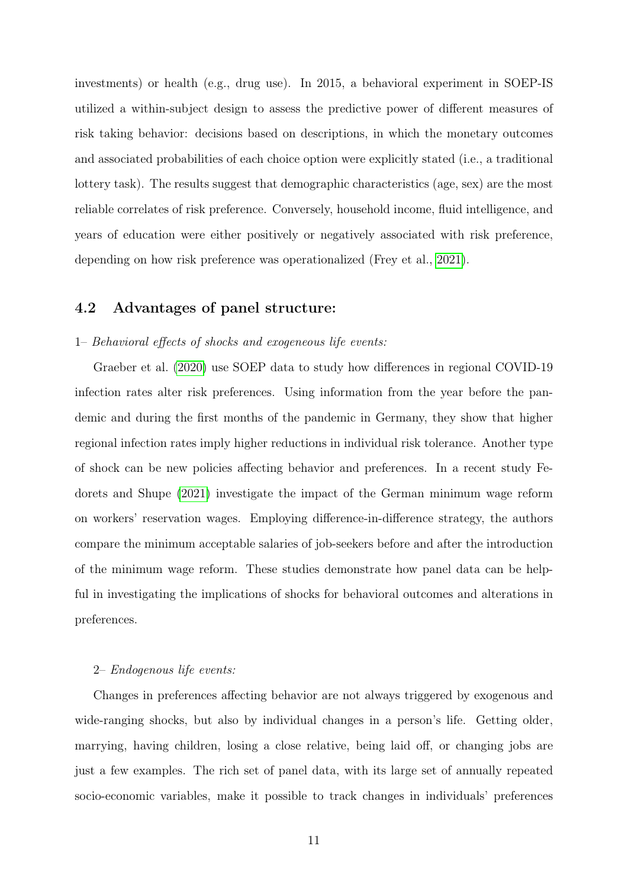investments) or health (e.g., drug use). In 2015, a behavioral experiment in SOEP-IS utilized a within-subject design to assess the predictive power of different measures of risk taking behavior: decisions based on descriptions, in which the monetary outcomes and associated probabilities of each choice option were explicitly stated (i.e., a traditional lottery task). The results suggest that demographic characteristics (age, sex) are the most reliable correlates of risk preference. Conversely, household income, fluid intelligence, and years of education were either positively or negatively associated with risk preference, depending on how risk preference was operationalized (Frey et al., [2021\)](#page-18-3).

#### 4.2 Advantages of panel structure:

#### 1– Behavioral effects of shocks and exogeneous life events:

Graeber et al. [\(2020\)](#page-18-4) use SOEP data to study how differences in regional COVID-19 infection rates alter risk preferences. Using information from the year before the pandemic and during the first months of the pandemic in Germany, they show that higher regional infection rates imply higher reductions in individual risk tolerance. Another type of shock can be new policies affecting behavior and preferences. In a recent study Fedorets and Shupe [\(2021\)](#page-17-5) investigate the impact of the German minimum wage reform on workers' reservation wages. Employing difference-in-difference strategy, the authors compare the minimum acceptable salaries of job-seekers before and after the introduction of the minimum wage reform. These studies demonstrate how panel data can be helpful in investigating the implications of shocks for behavioral outcomes and alterations in preferences.

#### 2– Endogenous life events:

Changes in preferences affecting behavior are not always triggered by exogenous and wide-ranging shocks, but also by individual changes in a person's life. Getting older, marrying, having children, losing a close relative, being laid off, or changing jobs are just a few examples. The rich set of panel data, with its large set of annually repeated socio-economic variables, make it possible to track changes in individuals' preferences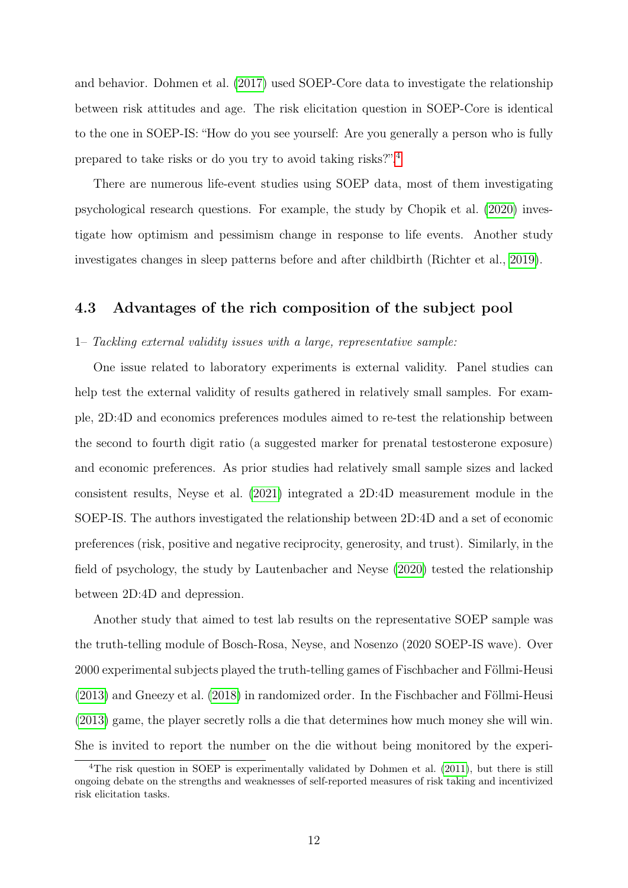and behavior. Dohmen et al. [\(2017\)](#page-17-6) used SOEP-Core data to investigate the relationship between risk attitudes and age. The risk elicitation question in SOEP-Core is identical to the one in SOEP-IS: "How do you see yourself: Are you generally a person who is fully prepared to take risks or do you try to avoid taking risks?".[4](#page-2-0)

There are numerous life-event studies using SOEP data, most of them investigating psychological research questions. For example, the study by Chopik et al. [\(2020\)](#page-17-7) investigate how optimism and pessimism change in response to life events. Another study investigates changes in sleep patterns before and after childbirth (Richter et al., [2019\)](#page-18-5).

#### 4.3 Advantages of the rich composition of the subject pool

#### 1– Tackling external validity issues with a large, representative sample:

One issue related to laboratory experiments is external validity. Panel studies can help test the external validity of results gathered in relatively small samples. For example, 2D:4D and economics preferences modules aimed to re-test the relationship between the second to fourth digit ratio (a suggested marker for prenatal testosterone exposure) and economic preferences. As prior studies had relatively small sample sizes and lacked consistent results, Neyse et al. [\(2021\)](#page-18-6) integrated a 2D:4D measurement module in the SOEP-IS. The authors investigated the relationship between 2D:4D and a set of economic preferences (risk, positive and negative reciprocity, generosity, and trust). Similarly, in the field of psychology, the study by Lautenbacher and Neyse [\(2020\)](#page-18-7) tested the relationship between 2D:4D and depression.

Another study that aimed to test lab results on the representative SOEP sample was the truth-telling module of Bosch-Rosa, Neyse, and Nosenzo (2020 SOEP-IS wave). Over 2000 experimental subjects played the truth-telling games of Fischbacher and Föllmi-Heusi [\(2013\)](#page-17-8) and Gneezy et al. [\(2018\)](#page-18-8) in randomized order. In the Fischbacher and Föllmi-Heusi [\(2013\)](#page-17-8) game, the player secretly rolls a die that determines how much money she will win. She is invited to report the number on the die without being monitored by the experi-

<sup>&</sup>lt;sup>4</sup>The risk question in SOEP is experimentally validated by Dohmen et al. [\(2011\)](#page-17-1), but there is still ongoing debate on the strengths and weaknesses of self-reported measures of risk taking and incentivized risk elicitation tasks.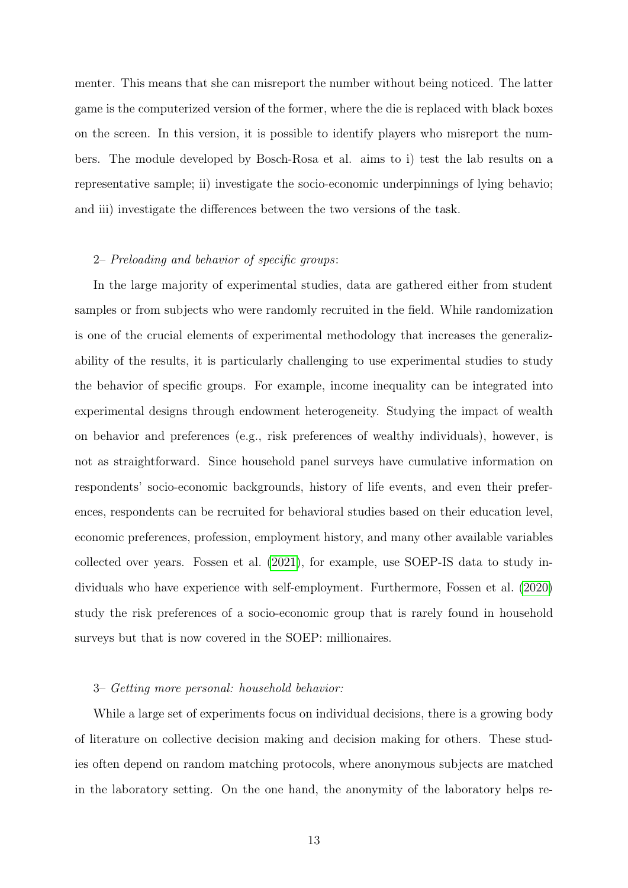menter. This means that she can misreport the number without being noticed. The latter game is the computerized version of the former, where the die is replaced with black boxes on the screen. In this version, it is possible to identify players who misreport the numbers. The module developed by Bosch-Rosa et al. aims to i) test the lab results on a representative sample; ii) investigate the socio-economic underpinnings of lying behavio; and iii) investigate the differences between the two versions of the task.

#### 2– Preloading and behavior of specific groups:

In the large majority of experimental studies, data are gathered either from student samples or from subjects who were randomly recruited in the field. While randomization is one of the crucial elements of experimental methodology that increases the generalizability of the results, it is particularly challenging to use experimental studies to study the behavior of specific groups. For example, income inequality can be integrated into experimental designs through endowment heterogeneity. Studying the impact of wealth on behavior and preferences (e.g., risk preferences of wealthy individuals), however, is not as straightforward. Since household panel surveys have cumulative information on respondents' socio-economic backgrounds, history of life events, and even their preferences, respondents can be recruited for behavioral studies based on their education level, economic preferences, profession, employment history, and many other available variables collected over years. Fossen et al. [\(2021\)](#page-17-9), for example, use SOEP-IS data to study individuals who have experience with self-employment. Furthermore, Fossen et al. [\(2020\)](#page-17-10) study the risk preferences of a socio-economic group that is rarely found in household surveys but that is now covered in the SOEP: millionaires.

#### 3– Getting more personal: household behavior:

While a large set of experiments focus on individual decisions, there is a growing body of literature on collective decision making and decision making for others. These studies often depend on random matching protocols, where anonymous subjects are matched in the laboratory setting. On the one hand, the anonymity of the laboratory helps re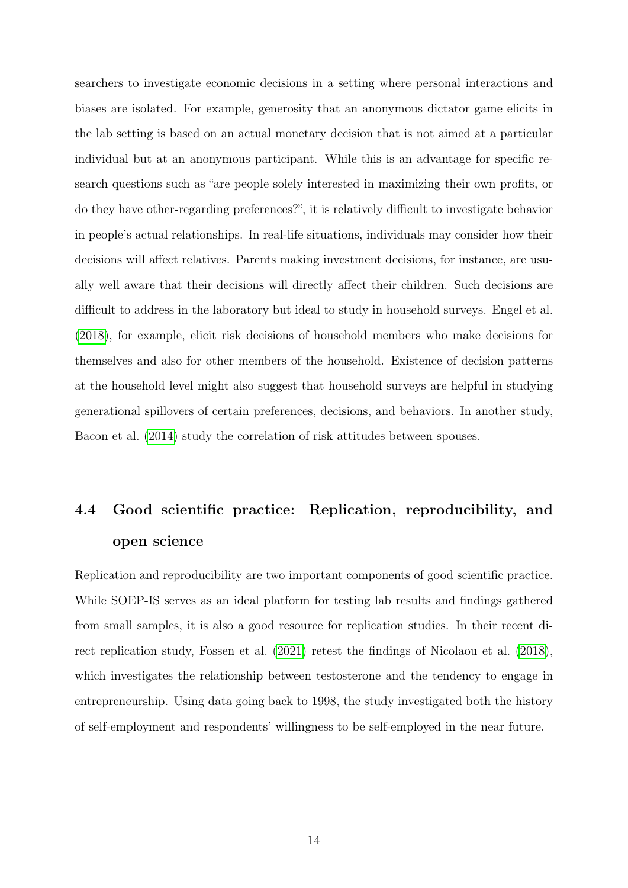searchers to investigate economic decisions in a setting where personal interactions and biases are isolated. For example, generosity that an anonymous dictator game elicits in the lab setting is based on an actual monetary decision that is not aimed at a particular individual but at an anonymous participant. While this is an advantage for specific research questions such as "are people solely interested in maximizing their own profits, or do they have other-regarding preferences?", it is relatively difficult to investigate behavior in people's actual relationships. In real-life situations, individuals may consider how their decisions will affect relatives. Parents making investment decisions, for instance, are usually well aware that their decisions will directly affect their children. Such decisions are difficult to address in the laboratory but ideal to study in household surveys. Engel et al. [\(2018\)](#page-17-11), for example, elicit risk decisions of household members who make decisions for themselves and also for other members of the household. Existence of decision patterns at the household level might also suggest that household surveys are helpful in studying generational spillovers of certain preferences, decisions, and behaviors. In another study, Bacon et al. [\(2014\)](#page-16-3) study the correlation of risk attitudes between spouses.

# 4.4 Good scientific practice: Replication, reproducibility, and open science

Replication and reproducibility are two important components of good scientific practice. While SOEP-IS serves as an ideal platform for testing lab results and findings gathered from small samples, it is also a good resource for replication studies. In their recent direct replication study, Fossen et al. [\(2021\)](#page-17-9) retest the findings of Nicolaou et al. [\(2018\)](#page-18-9), which investigates the relationship between testosterone and the tendency to engage in entrepreneurship. Using data going back to 1998, the study investigated both the history of self-employment and respondents' willingness to be self-employed in the near future.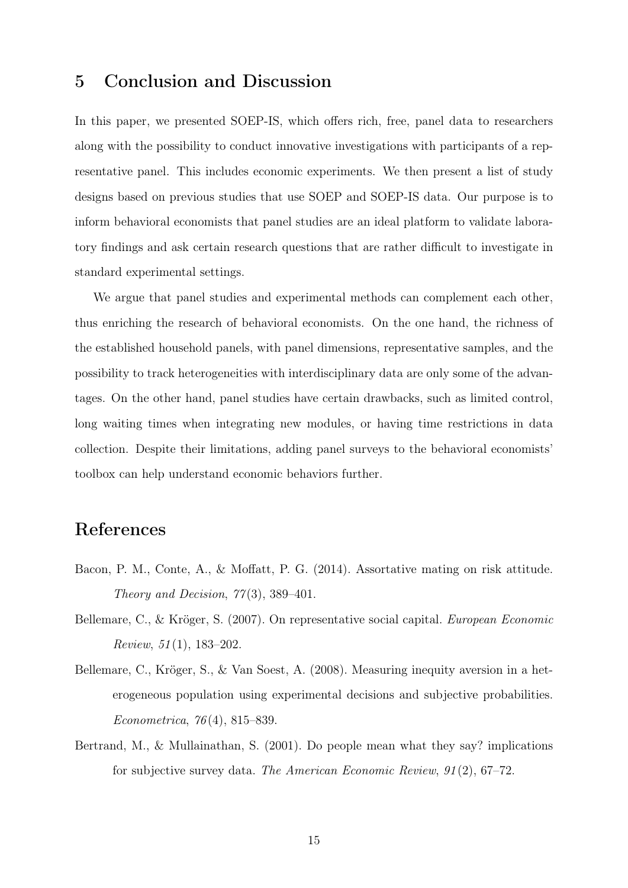### 5 Conclusion and Discussion

In this paper, we presented SOEP-IS, which offers rich, free, panel data to researchers along with the possibility to conduct innovative investigations with participants of a representative panel. This includes economic experiments. We then present a list of study designs based on previous studies that use SOEP and SOEP-IS data. Our purpose is to inform behavioral economists that panel studies are an ideal platform to validate laboratory findings and ask certain research questions that are rather difficult to investigate in standard experimental settings.

We argue that panel studies and experimental methods can complement each other, thus enriching the research of behavioral economists. On the one hand, the richness of the established household panels, with panel dimensions, representative samples, and the possibility to track heterogeneities with interdisciplinary data are only some of the advantages. On the other hand, panel studies have certain drawbacks, such as limited control, long waiting times when integrating new modules, or having time restrictions in data collection. Despite their limitations, adding panel surveys to the behavioral economists' toolbox can help understand economic behaviors further.

# References

- <span id="page-16-3"></span>Bacon, P. M., Conte, A., & Moffatt, P. G. (2014). Assortative mating on risk attitude. Theory and Decision,  $77(3)$ , 389-401.
- <span id="page-16-0"></span>Bellemare, C., & Kröger, S. (2007). On representative social capital. European Economic Review,  $51(1)$ , 183-202.
- <span id="page-16-1"></span>Bellemare, C., Kröger, S., & Van Soest, A. (2008). Measuring inequity aversion in a heterogeneous population using experimental decisions and subjective probabilities. Econometrica, 76 (4), 815–839.
- <span id="page-16-2"></span>Bertrand, M., & Mullainathan, S. (2001). Do people mean what they say? implications for subjective survey data. The American Economic Review, 91 (2), 67–72.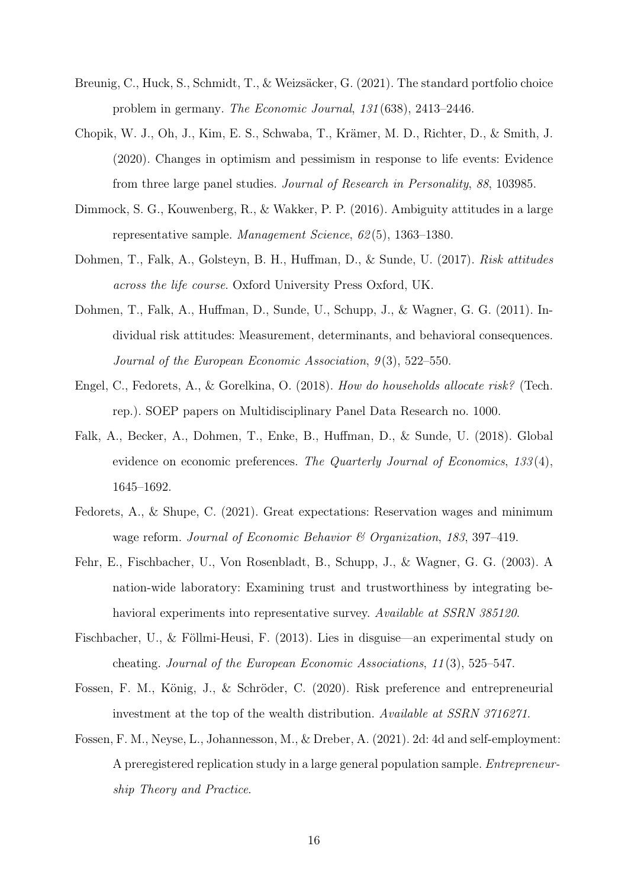- <span id="page-17-4"></span>Breunig, C., Huck, S., Schmidt, T., & Weizsäcker, G. (2021). The standard portfolio choice problem in germany. The Economic Journal, 131 (638), 2413–2446.
- <span id="page-17-7"></span>Chopik, W. J., Oh, J., Kim, E. S., Schwaba, T., Krämer, M. D., Richter, D., & Smith, J. (2020). Changes in optimism and pessimism in response to life events: Evidence from three large panel studies. Journal of Research in Personality, 88, 103985.
- <span id="page-17-0"></span>Dimmock, S. G., Kouwenberg, R., & Wakker, P. P. (2016). Ambiguity attitudes in a large representative sample. Management Science, 62 (5), 1363–1380.
- <span id="page-17-6"></span>Dohmen, T., Falk, A., Golsteyn, B. H., Huffman, D., & Sunde, U. (2017). Risk attitudes across the life course. Oxford University Press Oxford, UK.
- <span id="page-17-1"></span>Dohmen, T., Falk, A., Huffman, D., Sunde, U., Schupp, J., & Wagner, G. G. (2011). Individual risk attitudes: Measurement, determinants, and behavioral consequences. Journal of the European Economic Association,  $9(3)$ , 522–550.
- <span id="page-17-11"></span>Engel, C., Fedorets, A., & Gorelkina, O. (2018). How do households allocate risk? (Tech. rep.). SOEP papers on Multidisciplinary Panel Data Research no. 1000.
- <span id="page-17-2"></span>Falk, A., Becker, A., Dohmen, T., Enke, B., Huffman, D., & Sunde, U. (2018). Global evidence on economic preferences. The Quarterly Journal of Economics, 133(4), 1645–1692.
- <span id="page-17-5"></span>Fedorets, A., & Shupe, C. (2021). Great expectations: Reservation wages and minimum wage reform. Journal of Economic Behavior & Organization, 183, 397–419.
- <span id="page-17-3"></span>Fehr, E., Fischbacher, U., Von Rosenbladt, B., Schupp, J., & Wagner, G. G. (2003). A nation-wide laboratory: Examining trust and trustworthiness by integrating behavioral experiments into representative survey. Available at SSRN 385120.
- <span id="page-17-8"></span>Fischbacher, U., & Föllmi-Heusi, F. (2013). Lies in disguise—an experimental study on cheating. Journal of the European Economic Associations, 11 (3), 525–547.
- <span id="page-17-10"></span>Fossen, F. M., König, J., & Schröder, C. (2020). Risk preference and entrepreneurial investment at the top of the wealth distribution. Available at SSRN 3716271.
- <span id="page-17-9"></span>Fossen, F. M., Neyse, L., Johannesson, M., & Dreber, A. (2021). 2d: 4d and self-employment: A preregistered replication study in a large general population sample. Entrepreneurship Theory and Practice.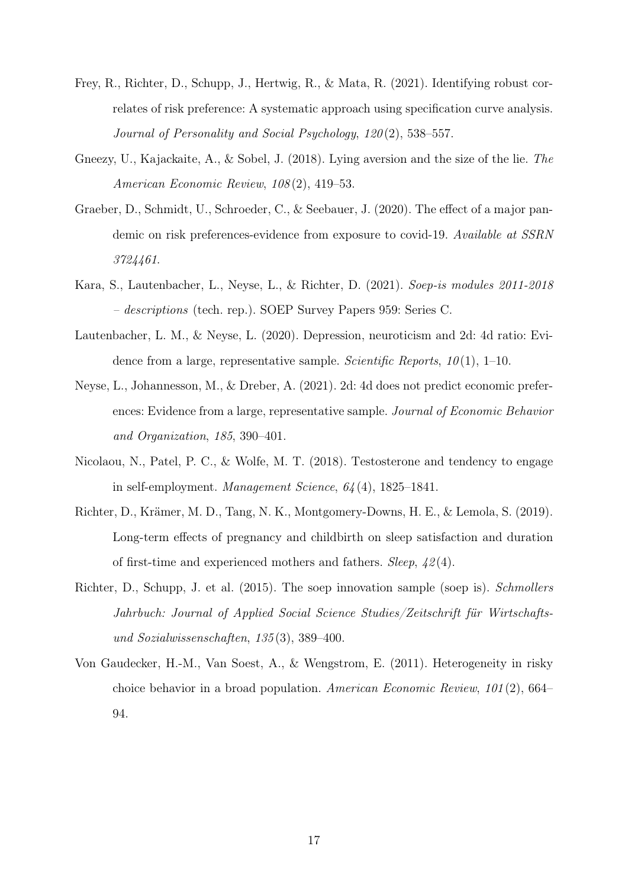- <span id="page-18-3"></span>Frey, R., Richter, D., Schupp, J., Hertwig, R., & Mata, R. (2021). Identifying robust correlates of risk preference: A systematic approach using specification curve analysis. Journal of Personality and Social Psychology, 120(2), 538–557.
- <span id="page-18-8"></span>Gneezy, U., Kajackaite, A., & Sobel, J. (2018). Lying aversion and the size of the lie. The American Economic Review, 108 (2), 419–53.
- <span id="page-18-4"></span>Graeber, D., Schmidt, U., Schroeder, C., & Seebauer, J. (2020). The effect of a major pandemic on risk preferences-evidence from exposure to covid-19. Available at SSRN 3724461.
- <span id="page-18-2"></span>Kara, S., Lautenbacher, L., Neyse, L., & Richter, D. (2021). Soep-is modules 2011-2018 – descriptions (tech. rep.). SOEP Survey Papers 959: Series C.
- <span id="page-18-7"></span>Lautenbacher, L. M., & Neyse, L. (2020). Depression, neuroticism and 2d: 4d ratio: Evidence from a large, representative sample. Scientific Reports,  $10(1)$ , 1–10.
- <span id="page-18-6"></span>Neyse, L., Johannesson, M., & Dreber, A. (2021). 2d: 4d does not predict economic preferences: Evidence from a large, representative sample. Journal of Economic Behavior and Organization, 185, 390–401.
- <span id="page-18-9"></span>Nicolaou, N., Patel, P. C., & Wolfe, M. T. (2018). Testosterone and tendency to engage in self-employment. Management Science,  $64(4)$ , 1825–1841.
- <span id="page-18-5"></span>Richter, D., Krämer, M. D., Tang, N. K., Montgomery-Downs, H. E., & Lemola, S. (2019). Long-term effects of pregnancy and childbirth on sleep satisfaction and duration of first-time and experienced mothers and fathers. Sleep, 42 (4).
- <span id="page-18-1"></span>Richter, D., Schupp, J. et al. (2015). The soep innovation sample (soep is). Schmollers Jahrbuch: Journal of Applied Social Science Studies/Zeitschrift für Wirtschaftsund Sozialwissenschaften, 135 (3), 389–400.
- <span id="page-18-0"></span>Von Gaudecker, H.-M., Van Soest, A., & Wengstrom, E. (2011). Heterogeneity in risky choice behavior in a broad population. American Economic Review, 101 (2), 664– 94.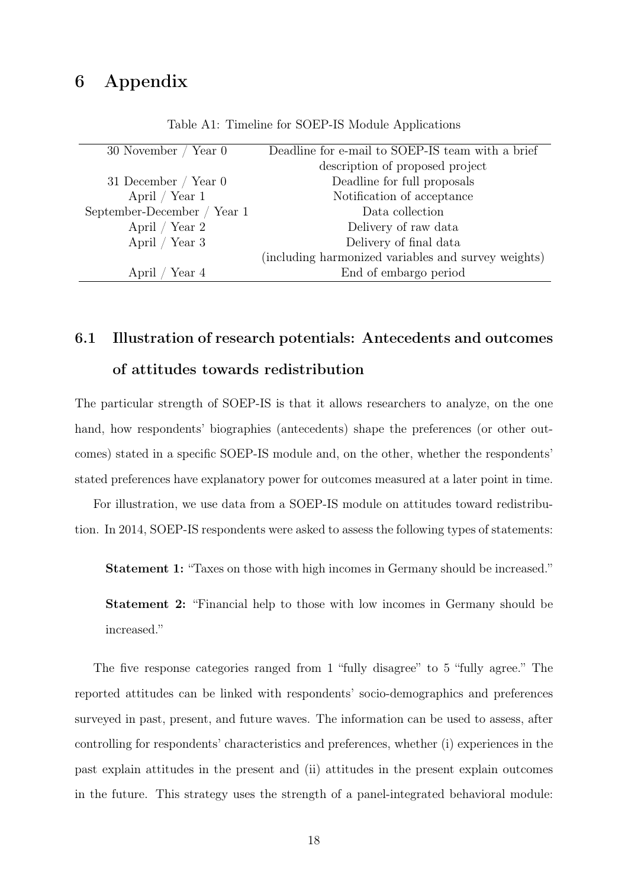# 6 Appendix

<span id="page-19-0"></span>

| 30 November / Year 0        | Deadline for e-mail to SOEP-IS team with a brief    |
|-----------------------------|-----------------------------------------------------|
|                             | description of proposed project                     |
| 31 December / Year $0$      | Deadline for full proposals                         |
| April / Year $1$            | Notification of acceptance                          |
| September-December / Year 1 | Data collection                                     |
| April / Year 2              | Delivery of raw data                                |
| April / Year $3$            | Delivery of final data                              |
|                             | (including harmonized variables and survey weights) |
| Year 4<br>April             | End of embargo period                               |

Table A1: Timeline for SOEP-IS Module Applications

# 6.1 Illustration of research potentials: Antecedents and outcomes of attitudes towards redistribution

The particular strength of SOEP-IS is that it allows researchers to analyze, on the one hand, how respondents' biographies (antecedents) shape the preferences (or other outcomes) stated in a specific SOEP-IS module and, on the other, whether the respondents' stated preferences have explanatory power for outcomes measured at a later point in time.

For illustration, we use data from a SOEP-IS module on attitudes toward redistribution. In 2014, SOEP-IS respondents were asked to assess the following types of statements:

Statement 1: "Taxes on those with high incomes in Germany should be increased."

Statement 2: "Financial help to those with low incomes in Germany should be increased."

The five response categories ranged from 1 "fully disagree" to 5 "fully agree." The reported attitudes can be linked with respondents' socio-demographics and preferences surveyed in past, present, and future waves. The information can be used to assess, after controlling for respondents' characteristics and preferences, whether (i) experiences in the past explain attitudes in the present and (ii) attitudes in the present explain outcomes in the future. This strategy uses the strength of a panel-integrated behavioral module: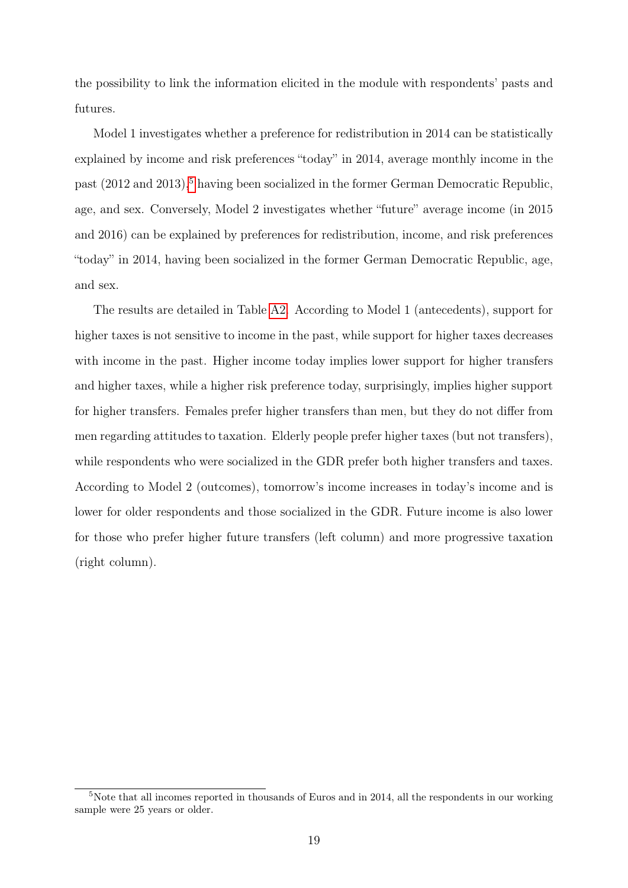the possibility to link the information elicited in the module with respondents' pasts and futures.

Model 1 investigates whether a preference for redistribution in 2014 can be statistically explained by income and risk preferences "today" in 2014, average monthly income in the past (2012 and 2013),<sup>[5](#page-2-0)</sup> having been socialized in the former German Democratic Republic, age, and sex. Conversely, Model 2 investigates whether "future" average income (in 2015 and 2016) can be explained by preferences for redistribution, income, and risk preferences "today" in 2014, having been socialized in the former German Democratic Republic, age, and sex.

The results are detailed in Table [A2.](#page-21-1) According to Model 1 (antecedents), support for higher taxes is not sensitive to income in the past, while support for higher taxes decreases with income in the past. Higher income today implies lower support for higher transfers and higher taxes, while a higher risk preference today, surprisingly, implies higher support for higher transfers. Females prefer higher transfers than men, but they do not differ from men regarding attitudes to taxation. Elderly people prefer higher taxes (but not transfers), while respondents who were socialized in the GDR prefer both higher transfers and taxes. According to Model 2 (outcomes), tomorrow's income increases in today's income and is lower for older respondents and those socialized in the GDR. Future income is also lower for those who prefer higher future transfers (left column) and more progressive taxation (right column).

<sup>5</sup>Note that all incomes reported in thousands of Euros and in 2014, all the respondents in our working sample were 25 years or older.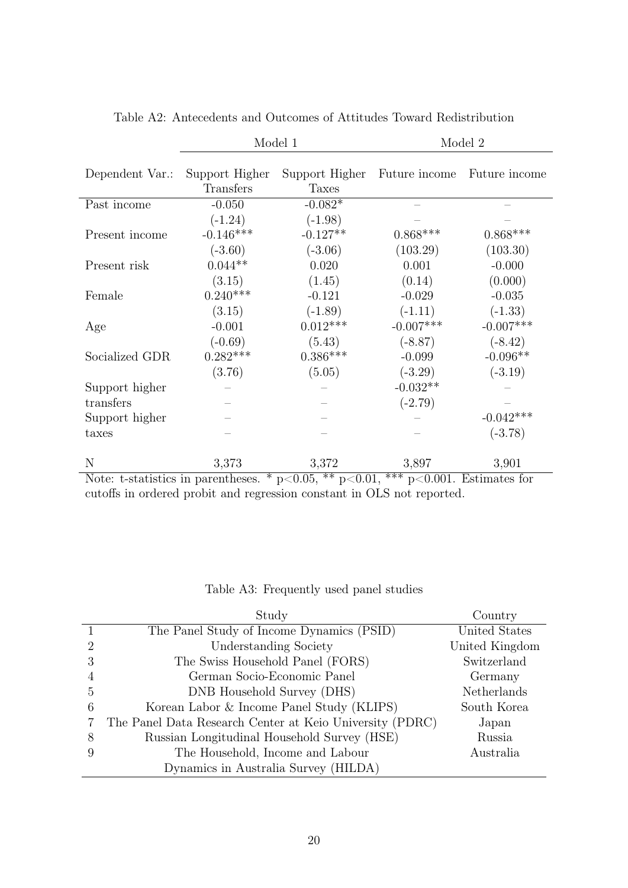<span id="page-21-1"></span>

|                                                                                                   | Model 1                     |                                | Model 2       |               |  |
|---------------------------------------------------------------------------------------------------|-----------------------------|--------------------------------|---------------|---------------|--|
| Dependent Var.:                                                                                   | Support Higher<br>Transfers | Support Higher<br><b>Taxes</b> | Future income | Future income |  |
| Past income                                                                                       | $-0.050$                    | $-0.082*$                      |               |               |  |
|                                                                                                   | $(-1.24)$                   | $(-1.98)$                      |               |               |  |
| Present income                                                                                    | $-0.146***$                 | $-0.127**$                     | $0.868***$    | $0.868***$    |  |
|                                                                                                   | $(-3.60)$                   | $(-3.06)$                      | (103.29)      | (103.30)      |  |
| Present risk                                                                                      | $0.044**$                   | 0.020                          | 0.001         | $-0.000$      |  |
|                                                                                                   | (3.15)                      | (1.45)                         | (0.14)        | (0.000)       |  |
| Female                                                                                            | $0.240***$                  | $-0.121$                       | $-0.029$      | $-0.035$      |  |
|                                                                                                   | (3.15)                      | $(-1.89)$                      | $(-1.11)$     | $(-1.33)$     |  |
| Age                                                                                               | $-0.001$                    | $0.012***$                     | $-0.007***$   | $-0.007***$   |  |
|                                                                                                   | $(-0.69)$                   | (5.43)                         | $(-8.87)$     | $(-8.42)$     |  |
| Socialized GDR                                                                                    | $0.282***$                  | $0.386***$                     | $-0.099$      | $-0.096**$    |  |
|                                                                                                   | (3.76)                      | (5.05)                         | $(-3.29)$     | $(-3.19)$     |  |
| Support higher                                                                                    |                             |                                | $-0.032**$    |               |  |
| transfers                                                                                         |                             |                                | $(-2.79)$     |               |  |
| Support higher                                                                                    |                             |                                |               | $-0.042***$   |  |
| taxes                                                                                             |                             |                                |               | $(-3.78)$     |  |
| N                                                                                                 | 3,373                       | 3,372                          | 3,897         | 3,901         |  |
| Note: t-statistics in parentheses. * $p<0.05$ , ** $p<0.01$ ,<br>***<br>$p<0.001$ . Estimates for |                             |                                |               |               |  |

Table A2: Antecedents and Outcomes of Attitudes Toward Redistribution

cutoffs in ordered probit and regression constant in OLS not reported.

|  | Table A3: Frequently used panel studies |  |  |  |
|--|-----------------------------------------|--|--|--|
|--|-----------------------------------------|--|--|--|

<span id="page-21-0"></span>

|   | Study                                                    | Country        |
|---|----------------------------------------------------------|----------------|
|   | The Panel Study of Income Dynamics (PSID)                | United States  |
| 2 | Understanding Society                                    | United Kingdom |
| 3 | The Swiss Household Panel (FORS)                         | Switzerland    |
|   | German Socio-Economic Panel                              | Germany        |
| 5 | DNB Household Survey (DHS)                               | Netherlands    |
| 6 | Korean Labor & Income Panel Study (KLIPS)                | South Korea    |
|   | The Panel Data Research Center at Keio University (PDRC) | Japan          |
| 8 | Russian Longitudinal Household Survey (HSE)              | Russia         |
|   | The Household, Income and Labour                         | Australia      |
|   | Dynamics in Australia Survey (HILDA)                     |                |